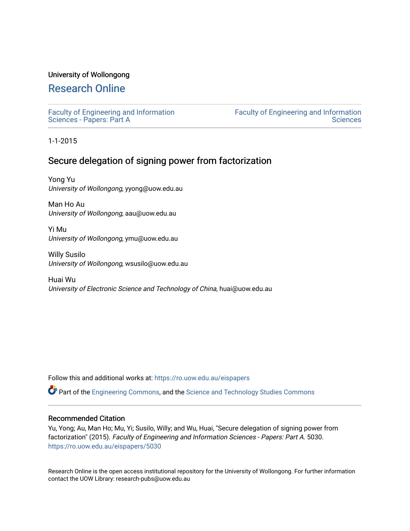## University of Wollongong

# [Research Online](https://ro.uow.edu.au/)

[Faculty of Engineering and Information](https://ro.uow.edu.au/eispapers)  [Sciences - Papers: Part A](https://ro.uow.edu.au/eispapers) 

[Faculty of Engineering and Information](https://ro.uow.edu.au/eis)  **Sciences** 

1-1-2015

# Secure delegation of signing power from factorization

Yong Yu University of Wollongong, yyong@uow.edu.au

Man Ho Au University of Wollongong, aau@uow.edu.au

Yi Mu University of Wollongong, ymu@uow.edu.au

Willy Susilo University of Wollongong, wsusilo@uow.edu.au

Huai Wu University of Electronic Science and Technology of China, huai@uow.edu.au

Follow this and additional works at: [https://ro.uow.edu.au/eispapers](https://ro.uow.edu.au/eispapers?utm_source=ro.uow.edu.au%2Feispapers%2F5030&utm_medium=PDF&utm_campaign=PDFCoverPages)

Part of the [Engineering Commons](http://network.bepress.com/hgg/discipline/217?utm_source=ro.uow.edu.au%2Feispapers%2F5030&utm_medium=PDF&utm_campaign=PDFCoverPages), and the [Science and Technology Studies Commons](http://network.bepress.com/hgg/discipline/435?utm_source=ro.uow.edu.au%2Feispapers%2F5030&utm_medium=PDF&utm_campaign=PDFCoverPages)

## Recommended Citation

Yu, Yong; Au, Man Ho; Mu, Yi; Susilo, Willy; and Wu, Huai, "Secure delegation of signing power from factorization" (2015). Faculty of Engineering and Information Sciences - Papers: Part A. 5030. [https://ro.uow.edu.au/eispapers/5030](https://ro.uow.edu.au/eispapers/5030?utm_source=ro.uow.edu.au%2Feispapers%2F5030&utm_medium=PDF&utm_campaign=PDFCoverPages) 

Research Online is the open access institutional repository for the University of Wollongong. For further information contact the UOW Library: research-pubs@uow.edu.au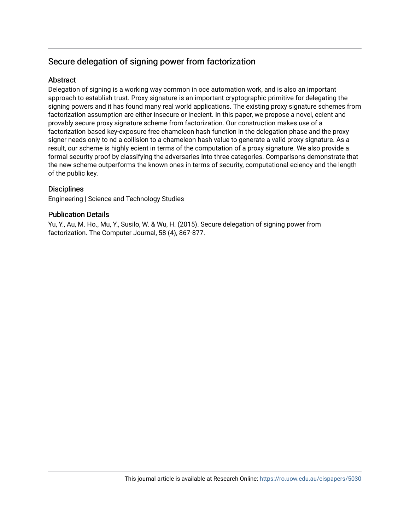# Secure delegation of signing power from factorization

# Abstract

Delegation of signing is a working way common in oce automation work, and is also an important approach to establish trust. Proxy signature is an important cryptographic primitive for delegating the signing powers and it has found many real world applications. The existing proxy signature schemes from factorization assumption are either insecure or inecient. In this paper, we propose a novel, ecient and provably secure proxy signature scheme from factorization. Our construction makes use of a factorization based key-exposure free chameleon hash function in the delegation phase and the proxy signer needs only to nd a collision to a chameleon hash value to generate a valid proxy signature. As a result, our scheme is highly ecient in terms of the computation of a proxy signature. We also provide a formal security proof by classifying the adversaries into three categories. Comparisons demonstrate that the new scheme outperforms the known ones in terms of security, computational eciency and the length of the public key.

# **Disciplines**

Engineering | Science and Technology Studies

## Publication Details

Yu, Y., Au, M. Ho., Mu, Y., Susilo, W. & Wu, H. (2015). Secure delegation of signing power from factorization. The Computer Journal, 58 (4), 867-877.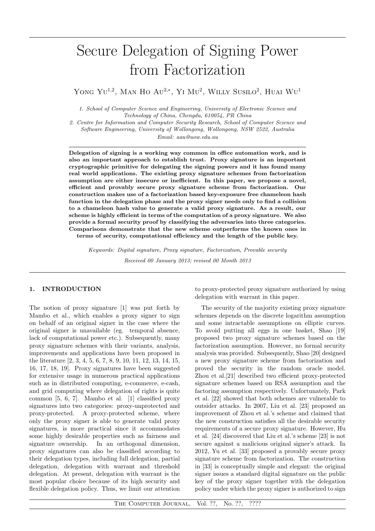# Secure Delegation of Signing Power from Factorization

YONG YU<sup>1,2</sup>, MAN HO AU<sup>2,\*</sup>, YI MU<sup>2</sup>, WILLY SUSILO<sup>2</sup>, HUAI WU<sup>1</sup>

1. School of Computer Science and Engineering, University of Electronic Science and Technology of China, Chengdu, 610054, PR China

2. Centre for Information and Computer Security Research, School of Computer Science and Software Engineering, University of Wollongong, Wollongong, NSW 2522, Australia Email: aau@uow.edu.au

Delegation of signing is a working way common in office automation work, and is also an important approach to establish trust. Proxy signature is an important cryptographic primitive for delegating the signing powers and it has found many real world applications. The existing proxy signature schemes from factorization assumption are either insecure or inefficient. In this paper, we propose a novel, efficient and provably secure proxy signature scheme from factorization. Our construction makes use of a factorization based key-exposure free chameleon hash function in the delegation phase and the proxy signer needs only to find a collision to a chameleon hash value to generate a valid proxy signature. As a result, our scheme is highly efficient in terms of the computation of a proxy signature. We also provide a formal security proof by classifying the adversaries into three categories. Comparisons demonstrate that the new scheme outperforms the known ones in terms of security, computational efficiency and the length of the public key.

Keywords: Digital signature, Proxy signature, Factorization, Provable security

Received 00 January 2013; revised 00 Month 2013

## 1. INTRODUCTION

The notion of proxy signature [1] was put forth by Mambo et al., which enables a proxy signer to sign on behalf of an original signer in the case where the original signer is unavailable (eg. temporal absence, lack of computational power etc.). Subsequently, many proxy signature schemes with their variants, analysis, improvements and applications have been proposed in the literature [2, 3, 4, 5, 6, 7, 8, 9, 10, 11, 12, 13, 14, 15, 16, 17, 18, 19]. Proxy signatures have been suggested for extensive usage in numerous practical applications such as in distributed computing, e-commerce, e-cash, and grid computing where delegation of rights is quite common [5, 6, 7]. Mambo et al. [1] classified proxy signatures into two categories: proxy-unprotected and proxy-protected. A proxy-protected scheme, where only the proxy signer is able to generate valid proxy signatures, is more practical since it accommodates some highly desirable properties such as fairness and signature ownership. In an orthogonal dimension, proxy signatures can also be classified according to their delegation types, including full delegation, partial delegation, delegation with warrant and threshold delegation. At present, delegation with warrant is the most popular choice because of its high security and flexible delegation policy. Thus, we limit our attention

to proxy-protected proxy signature authorized by using delegation with warrant in this paper.

The security of the majority existing proxy signature schemes depends on the discrete logarithm assumption and some intractable assumptions on elliptic curves. To avoid putting all eggs in one basket, Shao [19] proposed two proxy signature schemes based on the factorization assumption. However, no formal security analysis was provided. Subsequently, Shao [20] designed a new proxy signature scheme from factorization and proved the security in the random oracle model. Zhou et al.[21] described two efficient proxy-protected signature schemes based on RSA assumption and the factoring assumption respectively. Unfortunately, Park et al. [22] showed that both schemes are vulnerable to outsider attacks. In 2007, Liu et al. [23] proposed an improvement of Zhou et al.'s scheme and claimed that the new construction satisfies all the desirable security requirements of a secure proxy signature. However, Hu et al. [24] discovered that Liu et al.'s scheme [23] is not secure against a malicious original signer's attack. In 2012, Yu et al. [33] proposed a provably secure proxy signature scheme from factorization. The construction in [33] is conceptually simple and elegant: the original signer issues a standard digital signature on the public key of the proxy signer together with the delegation policy under which the proxy signer is authorized to sign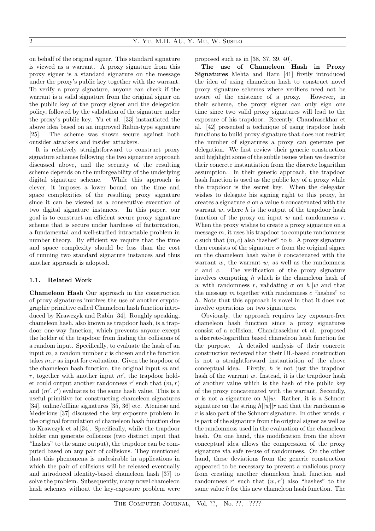on behalf of the original signer. This standard signature is viewed as a warrant. A proxy signature from this proxy signer is a standard signature on the message under the proxy's public key together with the warrant. To verify a proxy signature, anyone can check if the warrant is a valid signature from the original signer on the public key of the proxy signer and the delegation policy, followed by the validation of the signature under the proxy's public key. Yu et al. [33] instantiated the above idea based on an improved Rabin-type signature [25]. The scheme was shown secure against both outsider attackers and insider attackers.

It is relatively straightforward to construct proxy signature schemes following the two signature approach discussed above, and the security of the resulting scheme depends on the unforgeability of the underlying digital signature scheme. While this approach is clever, it imposes a lower bound on the time and space complexities of the resulting proxy signature since it can be viewed as a consecutive execution of two digital signature instances. In this paper, our goal is to construct an efficient secure proxy signature scheme that is secure under hardness of factorization, a fundamental and well-studied intractable problem in number theory. By efficient we require that the time and space complexity should be less than the cost of running two standard signature instances and thus another approach is adopted.

#### 1.1. Related Work

Chameleon Hash Our approach in the construction of proxy signatures involves the use of another cryptographic primitive called Chameleon hash function introduced by Krawczyk and Rabin [34]. Roughly speaking, chameleon hash, also known as trapdoor hash, is a trapdoor one-way function, which prevents anyone except the holder of the trapdoor from finding the collisions of a random input. Specifically, to evaluate the hash of an input  $m$ , a random number  $r$  is chosen and the function takes m, r as input for evaluation. Given the trapdoor of the chameleon hash function, the original input  $m$  and  $r$ , together with another input  $m'$ , the trapdoor holder could output another randonness  $r'$  such that  $(m, r)$ and  $(m', r')$  evaluates to the same hash value. This is a useful primitive for constructing chameleon signatures [34], online/offline signatures [35, 36] etc. Ateniese and Mederious [37] discussed the key exposure problem in the original formulation of chameleon hash function due to Krawczyk et al.[34]. Specifically, while the trapdoor holder can generate collisions (two distinct input that "hashes" to the same output), the trapdoor can be computed based on any pair of collisions. They mentioned that this phenomena is undesirable in applications in which the pair of collisions will be released eventually and introduced identity-based chameleon hash [37] to solve the problem. Subsequently, many novel chameleon hash schemes without the key-exposure problem were

proposed such as in [38, 37, 39, 40].

The use of Chameleon Hash in Proxy Signatures Mehta and Harn [41] firstly introduced the idea of using chameleon hash to construct novel proxy signature schemes where verifiers need not be aware of the existence of a proxy. However, in their scheme, the proxy signer can only sign one time since two valid proxy signatures will lead to the exposure of his trapdoor. Recently, Chandrasekhar et al. [42] presented a technique of using trapdoor hash functions to build proxy signature that does not restrict the number of signatures a proxy can generate per delegation. We first review their generic construction and highlight some of the subtle issues when we describe their concrete instantiation from the discrete logarithm assumption. In their generic approach, the trapdoor hash function is used as the public key of a proxy while the trapdoor is the secret key. When the delegator wishes to delegate his signing right to this proxy, he creates a signature  $\sigma$  on a value h concatenated with the warrant  $w$ , where  $h$  is the output of the trapdoor hash function of the proxy on input  $w$  and randomness  $r$ . When the proxy wishes to create a proxy signature on a message  $m$ , it uses his trapdoor to compute randomness c such that  $(m, c)$  also 'hashes" to h. A proxy signature then consists of the signature  $\sigma$  from the original signer on the chameleon hash value  $h$  concatenated with the warrant  $w$ , the warrant  $w$ , as well as the randomness  $r$  and  $c$ . The verification of the proxy signature involves computing  $h$  which is the chameleon hash of w with randomness r, validating  $\sigma$  on  $h||w$  and that the message  $m$  together with randomness  $c$  "hashes" to h. Note that this approach is novel in that it does not involve operations on two signatures.

Obviously, the approach requires key exposure-free chameleon hash function since a proxy signatures consist of a collision. Chandrasekhar et al. proposed a discrete-logarithm based chameleon hash function for the purpose. A detailed analysis of their concrete construction reviewed that their DL-based construction is not a straightforward instantiation of the above conceptual idea. Firstly,  $h$  is not just the trapdoor hash of the warrant  $w$ . Instead, it is the trapdoor hash of another value which is the hash of the public key of the proxy concatenated with the warrant. Secondly,  $\sigma$  is not a signature on  $h||w$ . Rather, it is a Schnorr signature on the string  $h||w||r$  and that the randomness  $r$  is also part of the Schnorr signature. In other words,  $r$ is part of the signature from the original signer as well as the randomness used in the evaluation of the chameleon hash. On one hand, this modification from the above conceptual idea allows the compression of the proxy signature via safe re-use of randomness. On the other hand, these deviations from the generic construction appeared to be necessary to prevent a malicious proxy from creating another chameleon hash function and randomness  $r'$  such that  $(w, r')$  also "hashes" to the same value  $h$  for this new chameleon hash function. The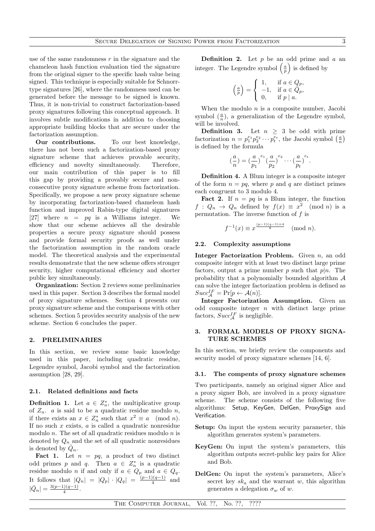use of the same randomness  $r$  in the signature and the chameleon hash function evaluation tied the signature from the original signer to the specific hash value being signed. This technique is especially suitable for Schnorrtype signatures [26], where the randomness used can be generated before the message to be signed is known. Thus, it is non-trivial to construct factorization-based proxy signatures following this conceptual approach. It involves subtle modifications in addition to choosing appropriate building blocks that are secure under the factorization assumption.

Our contributions. To our best knowledge, there has not been such a factorization-based proxy signature scheme that achieves provable security, efficiency and novelty simultaneously. Therefore, our main contribution of this paper is to fill this gap by providing a provably secure and nonconsecutive proxy signature scheme from factorization. Specifically, we propose a new proxy signature scheme by incorporating factorization-based chameleon hash function and improved Rabin-type digital signatures [27] where  $n = pq$  is a Williams integer. We show that our scheme achieves all the desirable properties a secure proxy signature should possess and provide formal security proofs as well under the factorization assumption in the random oracle model. The theoretical analysis and the experimental results demonstrate that the new scheme offers stronger security, higher computational efficiency and shorter public key simultaneously.

Organization: Section 2 reviews some preliminaries used in this paper. Section 3 describes the formal model of proxy signature schemes. Section 4 presents our proxy signature scheme and the comparisons with other schemes. Section 5 provides security analysis of the new scheme. Section 6 concludes the paper.

#### 2. PRELIMINARIES

In this section, we review some basic knowledge used in this paper, including quadratic residue, Legendre symbol, Jacobi symbol and the factorization assumption [28, 29].

#### 2.1. Related definitions and facts

**Definition 1.** Let  $a \in Z_n^*$ , the multiplicative group of  $Z_n$ . *a* is said to be a quadratic residue modulo *n*, if there exists an  $x \in Z_n^*$  such that  $x^2 \equiv a \pmod{n}$ . If no such  $x$  exists,  $a$  is called a quadratic nonresidue modulo n. The set of all quadratic residues modulo  $n$  is denoted by  $Q_n$  and the set of all quadratic nonresidues is denoted by  $\overline{Q}_n$ .

**Fact 1.** Let  $n = pq$ , a product of two distinct odd primes p and q. Then  $a \in Z_n^*$  is a quadratic residue modulo *n* if and only if  $a \in Q_p$  and  $a \in Q_q$ . It follows that  $|Q_n| = |Q_p| \cdot |Q_q| = \frac{(p-1)(q-1)}{4}$  $\frac{a^{(q-1)}}{4}$  and  $|\bar{Q}_n| = \frac{3(p-1)(q-1)}{4}$  $\frac{q-1}{4}$ .

**Definition 2.** Let  $p$  be an odd prime and  $a$  and integer. The Legendre symbol  $\left(\frac{a}{p}\right)$  is defined by

$$
\begin{pmatrix} \frac{a}{p} \end{pmatrix} = \begin{cases} 1, & \text{if } a \in Q_p, \\ -1, & \text{if } a \in \overline{Q}_p, \\ 0, & \text{if } p \mid a. \end{cases}
$$

When the modulo  $n$  is a composite number, Jacobi symbol  $(\frac{a}{n})$ , a generalization of the Legendre symbol, will be involved.

**Definition 3.** Let  $n \geq 3$  be odd with prime factorization  $n = p_1^{e_1} p_2^{e_2} \cdots p_t^{e_t}$ , the Jacobi symbol  $\left(\frac{a}{n}\right)$ is defined by the formula

$$
\big(\frac{a}{n}\big)=\big(\frac{a}{p_1}\big)^{e_1}\big(\frac{a}{p_2}\big)^{e_2}\cdot\cdot\cdot\big(\frac{a}{p_t}\big)^{e_t}.
$$

Definition 4. A Blum integer is a composite integer of the form  $n = pq$ , where p and q are distinct primes each congruent to 3 modulo 4.

**Fact 2.** If  $n = pq$  is a Blum integer, the function  $f: Q_n \to Q_n$  defined by  $f(x) \equiv x^2 \pmod{n}$  is a permutation. The inverse function of  $f$  is

$$
f^{-1}(x) \equiv x^{\frac{(p-1)(q-1)+4}{8}} \pmod{n}.
$$

#### 2.2. Complexity assumptions

**Integer Factorization Problem.** Given  $n$ , an odd composite integer with at least two distinct large prime factors, output a prime number p such that  $p|n$ . The probability that a polynomially bounded algorithm A can solve the integer factorization problem is defined as  $Succ_{\mathcal{A}}^{IF} = \Pr[p \leftarrow \mathcal{A}(n)].$ 

Integer Factorization Assumption. Given an odd composite integer  $n$  with distinct large prime factors,  $Succ_{\mathcal{A}}^{IF}$  is negligible.

#### 3. FORMAL MODELS OF PROXY SIGNA-TURE SCHEMES

In this section, we briefly review the components and security model of proxy signature schemes [14, 6].

#### 3.1. The compents of proxy signature schemes

Two participants, namely an original signer Alice and a proxy signer Bob, are involved in a proxy signature scheme. The scheme consists of the following five algorithms: Setup, KeyGen, DelGen, ProxySign and Verification.

- Setup: On input the system security parameter, this algorithm generates system's parameters.
- KeyGen: On input the system's parameters, this algorithm outputs secret-public key pairs for Alice and Bob.
- DelGen: On input the system's parameters, Alice's secret key  $sk_a$  and the warrant w, this algorithm generates a delegation  $\sigma_w$  of w.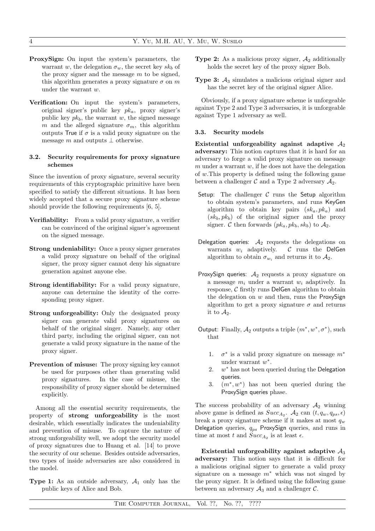- ProxySign: On input the system's parameters, the warrant w, the delegation  $\sigma_w$ , the secret key sk<sub>b</sub> of the proxy signer and the message  $m$  to be signed. this algorithm generates a proxy signature  $\sigma$  on m under the warrant w.
- Verification: On input the system's parameters, original signer's public key  $pk_a$ , proxy signer's public key  $pk_b$ , the warrant w, the signed message m and the alleged signature  $\sigma_m$ , this algorithm outputs True if  $\sigma$  is a valid proxy signature on the message m and outputs  $\perp$  otherwise.

#### 3.2. Security requirements for proxy signature schemes

Since the invention of proxy signature, several security requirements of this cryptographic primitive have been specified to satisfy the different situations. It has been widely accepted that a secure proxy signature scheme should provide the following requirements [6, 5].

- Verifiability: From a valid proxy signature, a verifier can be convinced of the original signer's agreement on the signed message.
- Strong undeniability: Once a proxy signer generates a valid proxy signature on behalf of the original signer, the proxy signer cannot deny his signature generation against anyone else.
- Strong identifiability: For a valid proxy signature, anyone can determine the identity of the corresponding proxy signer.
- Strong unforgeability: Only the designated proxy signer can generate valid proxy signatures on behalf of the original singer. Namely, any other third party, including the original signer, can not generate a valid proxy signature in the name of the proxy signer.
- Prevention of misuse: The proxy signing key cannot be used for purposes other than generating valid proxy signatures. In the case of misuse, the responsibility of proxy signer should be determined explicitly.

Among all the essential security requirements, the property of strong unforgeability is the most desirable, which essentially indicates the undeniability and prevention of misuse. To capture the nature of strong unforgeability well, we adopt the security model of proxy signatures due to Huang et al. [14] to prove the security of our scheme. Besides outside adversaries, two types of inside adversaries are also considered in the model.

**Type 1:** As an outside adversary,  $A_1$  only has the public keys of Alice and Bob.

- **Type 2:** As a malicious proxy signer,  $A_2$  additionally holds the secret key of the proxy signer Bob.
- **Type 3:**  $A_3$  simulates a malicious original signer and has the secret key of the original signer Alice.

Obviously, if a proxy signature scheme is unforgeable against Type 2 and Type 3 adversaries, it is unforgeable against Type 1 adversary as well.

#### 3.3. Security models

Existential unforgeability against adaptive  $A_2$ adversary: This notion captures that it is hard for an adversary to forge a valid proxy signature on message m under a warrant  $w$ , if he does not have the delegation of w.This property is defined using the following game between a challenger  $\mathcal C$  and a Type 2 adversary  $\mathcal A_2$ .

- Setup: The challenger  $C$  runs the Setup algorithm to obtain system's parameters, and runs KeyGen algorithm to obtain key pairs  $(sk_a, pk_a)$  and  $(sk_b, pk_b)$  of the original signer and the proxy signer. C then forwards  $(pk_a, pk_b, sk_b)$  to  $A_2$ .
- Delegation queries:  $A_2$  requests the delegations on warrants  $w_i$  adaptively.  $C$  runs the DelGen algorithm to obtain  $\sigma_{w_i}$  and returns it to  $\mathcal{A}_2$ .
- ProxySign queries:  $A_2$  requests a proxy signature on a message  $m_i$  under a warrant  $w_i$  adaptively. In response,  $C$  firstly runs DelGen algorithm to obtain the delegation on  $w$  and then, runs the ProxySign algorithm to get a proxy signature  $\sigma$  and returns it to  $A_2$ .
- Output: Finally,  $A_2$  outputs a triple  $(m^*, w^*, \sigma^*)$ , such that
	- 1. σ ∗ is a valid proxy signature on message m<sup>∗</sup> under warrant  $w^*$ .
	- 2. w  $w^*$  has not been queried during the Delegation queries.
	- 3.  $(m^*, w^*)$  has not been queried during the ProxySign queries phase.

The success probability of an adversary  $A_2$  winning above game is defined as  $Succ_{A_2}$ .  $A_2$  can  $(t, q_w, q_{ps}, \epsilon)$ break a proxy signature scheme if it makes at most  $q_w$ Delegation queries,  $q_{ps}$  ProxySign queries, and runs in time at most t and  $Succ_{A_2}$  is at least  $\epsilon$ .

Existential unforgeability against adaptive  $A_3$ adversary: This notion says that it is difficult for a malicious original signer to generate a valid proxy signature on a message  $m^*$  which was not singed by the proxy signer. It is defined using the following game between an adversary  $A_3$  and a challenger C.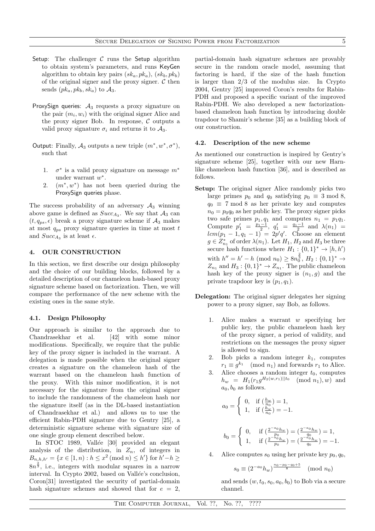- Setup: The challenger  $C$  runs the Setup algorithm to obtain system's parameters, and runs KeyGen algorithm to obtain key pairs  $(sk_a, p k_a)$ ,  $(sk_b, p k_b)$ of the original signer and the proxy signer.  $\mathcal C$  then sends  $(pk_a, pk_b, sk_a)$  to  $A_3$ .
- ProxySign queries:  $A_3$  requests a proxy signature on the pair  $(m_i, w_i)$  with the original signer Alice and the proxy signer Bob. In response,  $\mathcal C$  outputs a valid proxy signature  $\sigma_i$  and returns it to  $\mathcal{A}_3$ .
- Output: Finally,  $A_3$  outputs a new triple  $(m^*, w^*, \sigma^*)$ , such that
	- $1.$ ∗ is a valid proxy signature on message m<sup>∗</sup> under warrant  $w^*$ .
	- 2.  $(m^*, w^*)$  has not been queried during the ProxySign queries phase.

The success probability of an adversary  $A_3$  winning above game is defined as  $Succ_{A_3}$ . We say that  $A_3$  can  $(t, q_{ps}, \epsilon)$  break a proxy signature scheme if  $\mathcal{A}_3$  makes at most  $q_{ps}$  proxy signature queries in time at most  $t$ and  $Succ_{A_3}$  is at least  $\epsilon$ .

#### 4. OUR CONSTRUCTION

In this section, we first describe our design philosophy and the choice of our building blocks, followed by a detailed description of our chameleon hash-based proxy signature scheme based on factorization. Then, we will compare the performance of the new scheme with the existing ones in the same style.

#### 4.1. Design Philosophy

Our approach is similar to the approach due to Chandrasekhar et al. [42] with some minor modifications. Specifically, we require that the public key of the proxy signer is included in the warrant. A delegation is made possible when the original signer creates a signature on the chameleon hash of the warrant based on the chameleon hash function of the proxy. With this minor modification, it is not necessary for the signature from the original signer to include the randomness of the chameleon hash nor the signature itself (as in the DL-based instantiation of Chandrasekhar et al.) and allows us to use the efficient Rabin-PDH signature due to Gentry [25], a deterministic signature scheme with signature size of one single group element described below.

In STOC 1989, Vallée [30] provided an elegant analysis of the distribution, in  $Z_n$ , of integers in  $B_{n,h,h'} = \{x \in [1,n) : h \leq x^2 \pmod{n} \leq h'\}$  for  $h' - h \geq$  $8n^{\frac{2}{3}}$ , i.e., integers with modular squares in a narrow interval. In Crypto 2002, based on Vallée's conclusion, Coron[31] investigated the security of partial-domain hash signature schemes and showed that for  $e = 2$ , partial-domain hash signature schemes are provably secure in the random oracle model, assuming that factoring is hard, if the size of the hash function is larger than 2/3 of the modulus size. In Crypto 2004, Gentry [25] improved Coron's results for Rabin-PDH and proposed a specific variant of the improved Rabin-PDH. We also developed a new factorizationbased chameleon hash function by introducing double trapdoor to Shamir's scheme [35] as a building block of our construction.

#### 4.2. Description of the new scheme

As mentioned our construction is inspired by Gentry's signature scheme [25], together with our new Harnlike chameleon hash function [36], and is described as follows.

- Setup: The original signer Alice randomly picks two large primes  $p_0$  and  $q_0$  satisfying  $p_0 \equiv 3 \mod 8$ ,  $q_0 \equiv 7 \mod 8$  as her private key and computes  $n_0 = p_0 q_0$  as her public key. The proxy signer picks two safe primes  $p_1, q_1$  and computes  $n_1 = p_1 q_1$ . Compute  $p'_1 = \frac{p_1-1}{2}$ ,  $q'_1 = \frac{q_1-1}{2}$  and  $\lambda(n_1)$  $lcm(p_1 - 1, q_1 - 1) = 2p'q'.$  Choose an element  $g \in Z_{n_1}^*$  of order  $\lambda(n_1)$ . Let  $H_1, H_2$  and  $H_3$  be three secure hash functions where  $H_1: \{0,1\}^* \to [h,h']$ with  $h'' = h' - h \pmod{n_0} \ge 8n_0^{\frac{2}{3}}, H_2 : \{0,1\}^* \to$  $Z_{n_1}$  and  $H_3: \{0,1\}^* \to Z_{n_1}$ . The public chameleon hash key of the proxy signer is  $(n_1, g)$  and the private trapdoor key is  $(p_1, q_1)$ .
- Delegation: The original signer delegates her signing power to a proxy signer, say Bob, as follows.
	- 1. Alice makes a warrant w specifying her public key, the public chameleon hash key of the proxy signer, a period of validity, and restrictions on the messages the proxy signer is allowed to sign.
	- 2. Bob picks a random integer  $k_1$ , computes  $r_1 \equiv g^{k_1} \pmod{n_1}$  and forwards  $r_1$  to Alice.
	- 3. Alice chooses a random integer  $t_0$ , computes  $h_w = H_1(r_1 g^{H_2(w,r_1)||t_0} \pmod{n_1}, w$  and  $a_0, b_0$  as follows.

$$
a_0 = \begin{cases} 0, & \text{if } \left(\frac{h_w}{n_0}\right) = 1, \\ 1, & \text{if } \left(\frac{h_w}{n_0}\right) = -1. \end{cases}
$$

$$
b_0 = \begin{cases} 0, & \text{if } \left(\frac{2^{-a_0} h_w}{p_0}\right) = \left(\frac{2^{-a_0} h_w}{q_0}\right) = 1, \\ 1, & \text{if } \left(\frac{2^{-a_0} h_w}{p_0}\right) = \left(\frac{2^{-a_0} h_w}{q_0}\right) = -1. \end{cases}
$$

4. Alice computes  $s_0$  using her private key  $p_0, q_0$ ,

$$
s_0 \equiv (2^{-a_0} h_w)^{\frac{n_0 - p_0 - q_0 + 5}{8}} \pmod{n_0}
$$

and sends  $(w, t_0, s_0, a_0, b_0)$  to Bob via a secure channel.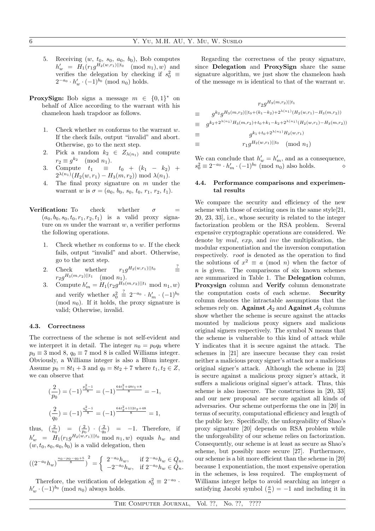- 5. Receiving  $(w, t_0, s_0, a_0, b_0)$ , Bob computes  $h'_w = H_1(r_1 g^{H_2(w,r_1)||t_0} \pmod{n_1}, w$  and verifies the delegation by checking if  $s_0^2 \equiv$  $2^{-a_0} \cdot h'_w \cdot (-1)^{b_0} \pmod{n_0}$  holds.
- **ProxySign:** Bob signs a message  $m \in \{0,1\}^*$  on behalf of Alice according to the warrant with his chameleon hash trapdoor as follows.
	- 1. Check whether  $m$  conforms to the warrant  $w$ . If the check fails, output "invalid" and abort. Otherwise, go to the next step.
	- 2. Pick a random  $k_2 \in Z_{\lambda(n_1)}$  and compute  $r_2 \equiv g^{k_2} \pmod{n_1}.$
	- 3. Compute  $t_1 \equiv t_0 + (k_1 k_2) +$  $2^{\lambda(n_1)}(H_2(w,r_1) - H_3(m,r_2)) \mod \lambda(n_1).$
	- 4. The final proxy signature on m under the warrant w is  $\sigma = (a_0, b_0, s_0, t_0, r_1, r_2, t_1).$
- **Verification:** To check whether  $\sigma$  $(a_0, b_0, s_0, t_0, r_1, r_2, t_1)$  is a valid proxy signature on  $m$  under the warrant  $w$ , a verifier performs the following operations.
	- 1. Check whether  $m$  conforms to  $w$ . If the check fails, output "invalid" and abort. Otherwise, go to the next step.
	- 2. Check whether  $r_1 g^{H_2(w,r_1)||t_0} \equiv$  $r_2g^{H_3(m,r_2)||t_1} \pmod{n_1}.$
	- 3. Compute  $h'_m = H_1(r_2 g^{H_3(m,r_2)||t_1} \mod n_1, w)$ and verify whether  $s_0^2$  $\stackrel{?}{\equiv} 2^{-a_0} \cdot h'_m \cdot (-1)^{b_0}$ (mod  $n_0$ ). If it holds, the proxy signature is valid; Otherwise, invalid.

#### 4.3. Correctness

The correctness of the scheme is not self-evident and we interpret it in detail. The integer  $n_0 = p_0 q_0$  where  $p_0 \equiv 3 \mod 8$ ,  $q_0 \equiv 7 \mod 8$  is called Williams integer. Obviously, a Williams integer is also a Blum integer. Assume  $p_0 = 8t_1 + 3$  and  $q_0 = 8t_2 + 7$  where  $t_1, t_2 \in Z$ , we can observe that

$$
\begin{aligned} \left(\frac{2}{p_0}\right) &= (-1)^{\frac{p_0^2-1}{8}} = (-1)^{\frac{64t_1^2+48t_1+8}{8}} = -1, \\ \left(\frac{2}{q_0}\right) &= (-1)^{\frac{q_0^2-1}{8}} = (-1)^{\frac{64t_2^2+112t_2+48}{8}} = 1, \end{aligned}
$$

thus,  $\left(\frac{2}{n_0}\right) = \left(\frac{2}{p_0}\right) \cdot \left(\frac{2}{q_0}\right) = -1$ . Therefore, if  $h'_w = H_1(r_1 g^{H_2(w,r_1)||t_0} \text{ mod } n_1, w)$  equals  $h_w$  and  $(w, t_0, s_0, a_0, b_0)$  is a valid delegation, then

$$
((2^{-a_0}h_w)^{\frac{n_0-p_0-q_0+5}{8}})^2 = \begin{cases} 2^{-a_0}h_w, & \text{if } 2^{-a_0}h_w \in Q_n, \\ -2^{-a_0}h_w, & \text{if } 2^{-a_0}h_w \in \bar{Q}_n. \end{cases}
$$

Therefore, the verification of delegation  $s_0^2 \equiv 2^{-a_0}$ .  $h'_w \cdot (-1)^{b_0}$  (mod  $n_0$ ) always holds.

Regarding the correctness of the proxy signature, since **Delegation** and **ProxySign** share the same signature algorithm, we just show the chameleon hash of the message  $m$  is identical to that of the warrant  $w$ .

$$
r_2 g^{H_3(m,r_2)||t_1}
$$
\n
$$
\equiv g^{k_2} g^{H_3(m,r_2)||t_0 + (k_1 - k_2) + 2^{\lambda(n_1)}(H_2(w,r_1) - H_3(m,r_2))}
$$
\n
$$
\equiv g^{k_2 + 2^{\lambda(n_1)}H_3(m,r_2) + t_0 + k_1 - k_2 + 2^{\lambda(n_1)}(H_2(w,r_1) - H_3(m,r_2))}
$$
\n
$$
\equiv g^{k_1 + t_0 + 2^{\lambda(n_1)}H_2(w,r_1)}
$$
\n
$$
\equiv r_1 g^{H_2(w,r_1)||t_0} \pmod{n_1}
$$

We can conclude that  $h'_w = h'_m$ , and as a consequence,  $s_0^2 \equiv 2^{-a_0} \cdot h'_m \cdot (-1)^{b_0} \pmod{n_0}$  also holds.

#### 4.4. Performance comparisons and experimental results

We compare the security and efficiency of the new scheme with those of existing ones in the same style $[21,$ 20, 23, 33], i.e., whose security is related to the integer factorization problem or the RSA problem. Several expensive cryptographic operations are considered. We denote by mul, exp, and inv the multiplication, the modular exponentiation and the inversion computation respectively. root is denoted as the operation to find the solutions of  $x^2 \equiv a \pmod{n}$  when the factor of n is given. The comparisons of six known schemes are summarized in Table 1. The Delegation column, Proxysign column and Verify column demonstrate the computation costs of each scheme. Security column denotes the intractable assumptions that the schemes rely on. Against  $A_2$  and Against  $A_3$  columns show whether the scheme is secure against the attacks mounted by malicious proxy signers and malicious original signers respectively. The symbol N means that the scheme is vulnerable to this kind of attack while Y indicates that it is secure against the attack. The schemes in [21] are insecure because they can resist neither a malicious proxy signer's attack nor a malicious original signer's attack. Although the scheme in [23] is secure against a malicious proxy signer's attack, it suffers a malicious original signer's attack. Thus, this scheme is also insecure. The constructions in [20, 33] and our new proposal are secure against all kinds of adversaries. Our scheme outperforms the one in [20] in terms of security, computational efficiency and length of the public key. Specifically, the unforgeability of Shao's proxy signature [20] depends on RSA problem while the unforgeability of our scheme relies on factorization. Consequently, our scheme is at least as secure as Shao's scheme, but possibly more secure [27]. Furthermore, our scheme is a bit more efficient than the scheme in [20] because 1 exponentiation, the most expensive operation in the schemes, is less required. The employment of Williams integer helps to avoid searching an integer a satisfying Jacobi symbol  $\left(\frac{a}{n}\right) = -1$  and including it in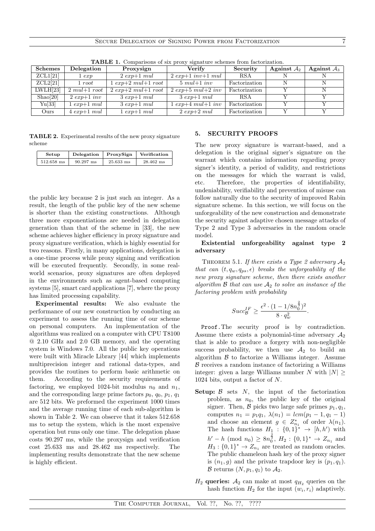SECURE DELEGATION OF SIGNING POWER FROM FACTORIZATION 7

| <b>Schemes</b> | Delegation            | Proxysign                        | <b>Verify</b>                        | Security      | Against $A_2$ | Against $A_3$ |
|----------------|-----------------------|----------------------------------|--------------------------------------|---------------|---------------|---------------|
| ZCL1[21]       | $1 \; exp$            | $2 \exp+1 \mu$                   | $2 exp+1 inv+1 mul$                  | <b>RSA</b>    |               |               |
| ZCL2[21]       | $1\ root$             | $1 \; exp+2 \; mul+1 \; root$    | $5 \; mult+1 \; inv$                 | Factorization |               | N             |
| LWLH[23]       | $2 \t mult+1 \t root$ | $2 \exp+2 \mu \nu + 1 \cdot \nu$ | $2 \exp+5 \text{ mul}+2 \text{ inv}$ | Factorization |               | N             |
| Shao[20]       | $2 \exp+1 inv$        | $3 \exp+1 \, mul$                | $3 \exp+1 \mu$                       | <b>RSA</b>    |               |               |
| Yu[33]         | $1 \; exp+1 \; mul$   | $3 \; exp+1 \; mul$              | $1 \; exp+4 \; mul+1 \; inv$         | Factorization |               |               |
| Ours           | $4 \; exp+1 \; mul$   | $1 \; exp+1 \; mul$              | $2 \exp+2 \mu$                       | Factorization |               |               |

TABLE 1. Comparisons of six proxy signature schemes from factorization.

TABLE 2. Experimental results of the new proxy signature scheme

| Setup      | Delegation  | ProxySign   | Verification |
|------------|-------------|-------------|--------------|
| 512.658 ms | $90.297$ ms | $25.633$ ms | $28.462$ ms  |

the public key because 2 is just such an integer. As a result, the length of the public key of the new scheme is shorter than the existing constructions. Although three more exponentiations are needed in delegation generation than that of the scheme in [33], the new scheme achieves higher efficiency in proxy signature and proxy signature verification, which is highly essential for two reasons. Firstly, in many applications, delegation is a one-time process while proxy signing and verification will be executed frequently. Secondly, in some realworld scenarios, proxy signatures are often deployed in the environments such as agent-based computing systems [5], smart card applications [7], where the proxy has limited processing capability.

Experimental results: We also evaluate the performance of our new construction by conducting an experiment to assess the running time of our scheme on personal computers. An implementation of the algorithms was realized on a computer with CPU T8100 @ 2.10 GHz and 2.0 GB memory, and the operating system is Windows 7.0. All the public key operations were built with Miracle Library [44] which implements multiprecision integer and rational data-types, and provides the routines to perform basic arithmetic on them. According to the security requirements of factoring, we employed 1024-bit modulus  $n_0$  and  $n_1$ , and the corresponding large prime factors  $p_0, q_0, p_1, q_1$ are 512 bits. We preformed the experiment 1000 times and the average running time of each sub-algorithm is shown in Table 2. We can observe that it takes 512.658 ms to setup the system, which is the most expensive operation but runs only one time. The delegation phase costs 90.297 ms, while the proxysign and verification cost 25.633 ms and 28.462 ms respectively. The implementing results demonstrate that the new scheme is highly efficient.

#### 5. SECURITY PROOFS

The new proxy signature is warrant-based, and a delegation is the original signer's signature on the warrant which contains information regarding proxy signer's identity, a period of validity, and restrictions on the messages for which the warrant is valid, etc. Therefore, the properties of identifiability, undeniability, verifiability and prevention of misuse can follow naturally due to the security of improved Rabin signature scheme. In this section, we will focus on the unforgeability of the new construction and demonstrate the security against adaptive chosen message attacks of Type 2 and Type 3 adversaries in the random oracle model.

#### Existential unforgeability against type 2 adversary

THEOREM 5.1. If there exists a Type 2 adversary  $A_2$ that can  $(t, q_w, q_{ps}, \epsilon)$  breaks the unforgeability of the new proxy signature scheme, then there exists another algorithm  $\beta$  that can use  $\mathcal{A}_2$  to solve an instance of the factoring problem with probability

$$
Succ^{IF}_{\mathcal{B}} \ge \frac{\epsilon^2 \cdot (1 - 1/8n_0^{\frac{2}{3}})^2}{8 \cdot q_w^2}.
$$

Proof.The security proof is by contradiction. Assume there exists a polynomial-time adversary  $A_2$ that is able to produce a forgery with non-negligible success probability, we then use  $A_2$  to build an algorithm  $\beta$  to factorize a Williams integer. Assume  $\beta$  receives a random instance of factorizing a Williams integer: given a large Williams number N with  $|N| \ge$ 1024 bits, output a factor of N.

- **Setup:**  $\beta$  sets  $N$ , the input of the factorization problem, as  $n_0$ , the public key of the original signer. Then,  $\beta$  picks two large safe primes  $p_1, q_1$ , computes  $n_1 = p_1q_1$ ,  $\lambda(n_1) = lcm(p_1 - 1, q_1 - 1)$ and choose an element  $g \in Z_{n_1}^*$  of order  $\lambda(n_1)$ . The hash functions  $H_1: \{0,1\}^* \to [h,h']$  with  $h' - h \pmod{n_0} \geq 8n_0^{\frac{2}{3}}, H_2 : \{0,1\}^* \to Z_{n_1}$  and  $H_3: \{0,1\}^* \to Z_{n_1}$  are treated as random oracles. The public chameleon hash key of the proxy signer is  $(n_1, g)$  and the private trapdoor key is  $(p_1, q_1)$ .  $\mathcal B$  returns  $(N, p_1, q_1)$  to  $\mathcal A_2$ .
- $H_2$  queries:  $A_2$  can make at most  $q_{H_2}$  queries on the hash function  $H_2$  for the input  $(w_i, r_i)$  adaptively.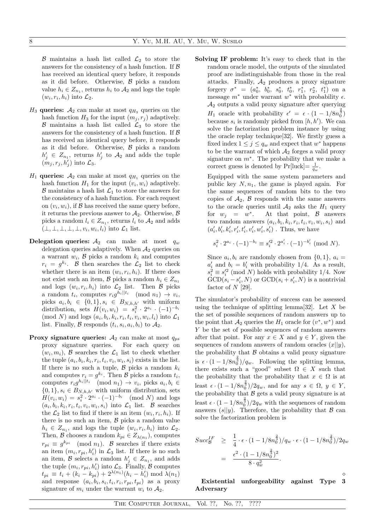$\beta$  maintains a hash list called  $\mathcal{L}_2$  to store the answers for the consistency of a hash function. If  $\beta$ has received an identical query before, it responds as it did before. Otherwise,  $\beta$  picks a random value  $h_i \in Z_{n_1}$ , returns  $h_i$  to  $\mathcal{A}_2$  and logs the tuple  $(w_i, r_i, h_i)$  into  $\mathcal{L}_2$ .

- $H_3$  queries:  $A_2$  can make at most  $q_{H_3}$  queries on the hash function  $H_3$  for the input  $(m_j, r_j)$  adaptively.  $\beta$  maintains a hash list called  $\mathcal{L}_3$  to store the answers for the consistency of a hash function. If  $\beta$ has received an identical query before, it responds as it did before. Otherwise,  $\beta$  picks a random  $h'_j \in Z_{n_1}$ , returns  $h'_j$  to  $\mathcal{A}_2$  and adds the tuple  $(m_j, r_j, h'_j)$  into  $\mathcal{L}_3$ .
- $H_1$  queries:  $A_2$  can make at most  $q_{H_1}$  queries on the hash function  $H_1$  for the input  $(v_i, w_i)$  adaptively.  $\beta$  maintains a hash list  $\mathcal{L}_1$  to store the answers for the consistency of a hash function. For each request on  $(v_i, w_i)$ , if  $\mathcal B$  has received the same query before, it returns the previous answer to  $A_2$ . Otherwise,  $\beta$ picks a random  $l_i \in Z_{n_1}$ , returns  $l_i$  to  $\mathcal{A}_2$  and adds  $(\bot, \bot, \bot, \bot, \bot, v_i, w_i, l_i)$  into  $\mathcal{L}_1$  list.
- **Delegation queries:**  $A_2$  can make at most  $q_w$ delegation queries adaptively. When  $A_2$  queries on a warrant  $w_i$ ,  $\beta$  picks a random  $k_i$  and computes  $r_i = g^{k_i}$ . B then searches the  $\mathcal{L}_2$  list to check whether there is an item  $(w_i, r_i, h_i)$ . If there does not exist such an item, B picks a random  $h_i \in Z_{n_1}$ and logs  $(w_i, r_i, h_i)$  into  $\mathcal{L}_2$  list. Then  $\mathcal B$  picks a random  $t_i$ , computes  $r_i g^{h_i||t_i} \pmod{n_1} \rightarrow v_i$ , picks  $a_i, b_i \in \{0, 1\}, s_i \in B_{N, h, h'}$  with uniform distribution, sets  $H(v_i, w_i) = s_i^2 \cdot 2^{a_i} \cdot (-1)^{-b_i}$ (mod N) and logs  $(a_i, b_i, k_i, r_i, t_i, v_i, w_i, l_i)$  into  $\mathcal{L}_1$ list. Finally,  $\beta$  responds  $(t_i, s_i, a_i, b_i)$  to  $\mathcal{A}_2$ .
- **Proxy signature queries:**  $A_2$  can make at most  $q_{ps}$ proxy signature queries. For each query on  $(w_i, m_i)$ ,  $\beta$  searches the  $\mathcal{L}_1$  list to check whether the tuple  $(a_i, b_i, k_i, r_i, t_i, v_i, w_i, s_i)$  exists in the list. If there is no such a tuple,  $\beta$  picks a random  $k_i$ and computes  $r_i = g^{k_i}$ . Then  $\mathcal{B}$  picks a random  $t_i$ , computes  $r_i g^{h_i||t_i} \pmod{n_1} \rightarrow v_i$ , picks  $a_i, b_i \in$  $\{0,1\}, s_i \in B_{N,h,h'}$  with uniform distribution, sets  $H(v_i, w_i) = s_i^2 \cdot 2^{a_i} \cdot (-1)^{-b_i} \pmod{N}$  and logs  $(a_i, b_i, k_i, r_i, t_i, v_i, w_i, s_i)$  into  $\mathcal{L}_1$  list.  $\mathcal{B}$  searches the  $\mathcal{L}_2$  list to find if there is an item  $(w_i, r_i, h_i)$ . If there is no such an item,  $\beta$  picks a random value  $h_i \in Z_{n_1}$ , and logs the tuple  $(w_i, r_i, h_i)$  into  $\mathcal{L}_2$ . Then, B chooses a random  $k_{pi} \in Z_{\lambda(n_1)}$ , computes  $r_{pi} \equiv g^{k_{pi}} \pmod{n_1}$ . B searches if there exists an item  $(m_i, r_{pi}, h'_i)$  in  $\mathcal{L}_3$  list. If there is no such an item,  $\mathcal{B}$  selects a random  $h'_j \in Z_{n_1}$ , and adds the tuple  $(m_i, r_{pi}, h'_i)$  into  $\mathcal{L}_3$ . Finally,  $\mathcal B$  computes  $t_{pi} \equiv t_i + (k_i - k_{pi}) + 2^{\lambda(n_1)}(h_i - h'_i) \bmod \lambda(n_1)$ and response  $(a_i, b_i, s_i, t_i, r_i, r_{pi}, t_{pi})$  as a proxy signature of  $m_i$  under the warrant  $w_i$  to  $A_2$ .

Solving IF problem: It's easy to check that in the random oracle model, the outputs of the simulated proof are indistinguishable from those in the real attacks. Finally,  $A_2$  produces a proxy signature forgery  $\sigma^* = (a_0^*, b_0^*, s_0^*, t_0^*, r_1^*, r_2^*, t_1^*)$  on a message  $m^*$  under warrant  $w^*$  with probability  $\epsilon$ .  $A_2$  outputs a valid proxy signature after querying  $H_1$  oracle with probability  $\epsilon' = \epsilon \cdot (1 - 1/8n_0^{\frac{2}{3}})$ because  $s_i$  is randomly picked from  $[h, h']$ . We can solve the factorization problem instance by using the oracle replay technique[32]. We firstly guess a fixed index  $1 \leq j \leq q_w$  and expect that  $w^*$  happens to be the warrant of which  $A_2$  forges a valid proxy signature on  $m^*$ . The probability that we make a correct guess is denoted by  $Pr[luck] = \frac{1}{q_w}$ .

Equipped with the same system parameters and public key  $N, n_1$ , the game is played again. For the same sequences of random bits to the two copies of  $A_2$ ,  $B$  responds with the same answers to the oracle queries until  $A_2$  asks the  $H_1$  query for  $w_j = w^*$ At that point,  $\beta$  answers two random answers  $(a_i, b_i, k_i, r_i, t_i, v_i, w_i, s_i)$  and  $(a_i^\prime, b_i^\prime, k_i^\prime, r_i^\prime, t_i^\prime, v_i^\prime, w_i^\prime, s_i^\prime)$  . Thus, we have

$$
s_i^2 \cdot 2^{a_i} \cdot (-1)^{-b_i} \equiv s_i'^2 \cdot 2^{a_i'} \cdot (-1)^{-b_i'} \pmod{N}.
$$

Since  $a_i, b_i$  are randomly chosen from  $\{0, 1\}, a_i =$  $a'_i$  and  $b_i = b'_i$  with probability 1/4. As a result,  $s_i^2 \equiv s_i'^2 \pmod{N}$  holds with probability 1/4. Now  $GCD(s_i - s'_i, N)$  or  $GCD(s_i + s'_i, N)$  is a nontrivial factor of  $N$  [29].

The simulator's probability of success can be assessed using the technique of splitting lemma[32]. Let  $X$  be the set of possible sequences of random answers up to the point that  $\mathcal{A}_2$  queries the  $H_1$  oracle for  $(v^*, w^*)$  and Y be the set of possible sequences of random answers after that point. For any  $x \in X$  and  $y \in Y$ , given the sequences of random answers of random oracles  $(x||y)$ , the probability that  $\beta$  obtains a valid proxy signature is  $\epsilon \cdot (1 - 1/8n_0^{\frac{2}{3}})/q_w$ . Following the splitting lemma, there exists such a "good" subset  $\Omega \in X$  such that the probability that the probability that  $x \in \Omega$  is at least  $\epsilon \cdot (1 - 1/8n_0^{\frac{2}{3}})/2q_w$ , and for any  $s \in \Omega$ ,  $y \in Y$ , the probability that  $\beta$  gets a valid proxy signature is at least  $\epsilon \cdot (1 - 1/8n_0^{\frac{2}{3}})/2q_w$  with the sequences of random answers  $(s||y)$ . Therefore, the probability that  $\beta$  can solve the factorization problem is

$$
Succ^{IF}_{\mathcal{B}} \geq \frac{1}{4} \cdot \epsilon \cdot (1 - 1/8n_0^{\frac{2}{3}})/q_w \cdot \epsilon \cdot (1 - 1/8n_0^{\frac{2}{3}})/2q_w
$$

$$
= \frac{\epsilon^2 \cdot (1 - 1/8n_0^{\frac{2}{3}})^2}{8 \cdot q_w^2}.
$$

Existential unforgeability against Type 3 Adversary

 $\Diamond$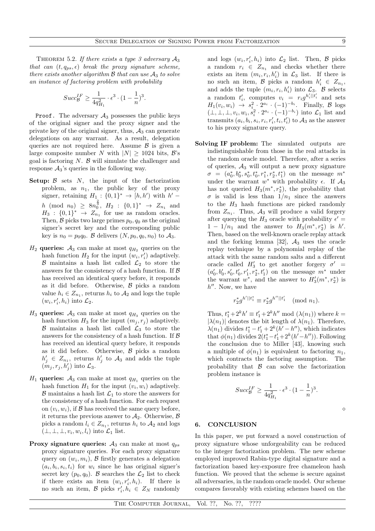THEOREM 5.2. If there exists a type 3 adversary  $A_3$ that can  $(t, q_{ns}, \epsilon)$  break the proxy signature scheme, there exists another algorithm  $\beta$  that can use  $\mathcal{A}_3$  to solve an instance of factoring problem with probability

$$
Succ^{IF}_{\mathcal{B}} \geq \frac{1}{4q^2_{H_1}} \cdot \epsilon^3 \cdot (1 - \frac{1}{n})^3.
$$

**Proof.** The adversary  $A_3$  possesses the public keys of the original signer and the proxy signer and the private key of the original signer, thus,  $A_3$  can generate delegations on any warrant. As a result, delegation queries are not required here. Assume  $\beta$  is given a large composite number N with  $|N| \geq 1024$  bits,  $\mathcal{B}$ 's goal is factoring  $N$ .  $\beta$  will simulate the challenger and response  $A_3$ 's queries in the following way.

- **Setup:**  $\beta$  sets  $N$ , the input of the factorization problem, as  $n_1$ , the public key of the proxy signer, retaining  $H_1: \{0,1\}^* \to [h,h']$  with  $h'$  –  $h \pmod{n_0} \geq 8n_0^{\frac{2}{3}}, H_2 : \{0,1\}^* \rightarrow Z_{n_1}$  and  $H_3: \{0,1\}^* \rightarrow Z_{n_1}$  for use as random oracles. Then,  $\beta$  picks two large primes  $p_0, q_0$  as the original signer's secret key and the corresponding public key is  $n_0 = p_0 q_0$ . B delivers  $(N, p_0, q_0, n_0)$  to  $\mathcal{A}_3$ .
- $H_2$  queries:  $A_3$  can make at most  $q_{H_2}$  queries on the hash function  $H_2$  for the input  $(w_i, r'_i)$  adaptively.  $\beta$  maintains a hash list called  $\mathcal{L}_2$  to store the answers for the consistency of a hash function. If  $\mathcal B$ has received an identical query before, it responds as it did before. Otherwise,  $\beta$  picks a random value  $h_i \in Z_{n_1}$ , returns  $h_i$  to  $\mathcal{A}_2$  and logs the tuple  $(w_i, r'_i, h_i)$  into  $\mathcal{L}_2$ .
- $H_3$  queries:  $A_3$  can make at most  $q_{H_3}$  queries on the hash function  $H_3$  for the input  $(m_i, r_i)$  adaptively.  $\beta$  maintains a hash list called  $\mathcal{L}_3$  to store the answers for the consistency of a hash function. If  $\beta$ has received an identical query before, it responds as it did before. Otherwise,  $\beta$  picks a random  $h'_j \in Z_{n_1}$ , returns  $h'_j$  to  $\mathcal{A}_3$  and adds the tuple  $(m_j, r_j, h'_j)$  into  $\mathcal{L}_3$ .
- $H_1$  queries:  $A_3$  can make at most  $q_{H_1}$  queries on the hash function  $H_1$  for the input  $(v_i, w_i)$  adaptively.  $\mathcal B$  maintains a hash list  $\mathcal L_1$  to store the answers for the consistency of a hash function. For each request on  $(v_i, w_i)$ , if  $\mathcal B$  has received the same query before, it returns the previous answer to  $A_2$ . Otherwise,  $\beta$ picks a random  $l_i \in Z_{n_1}$ , returns  $h_i$  to  $\mathcal{A}_2$  and logs  $(\bot, \bot, \bot, v_i, w_i, l_i)$  into  $\mathcal{L}_1$  list.
- **Proxy signature queries:**  $A_3$  can make at most  $q_{ps}$ proxy signature queries. For each proxy signature query on  $(w_i, m_i)$ ,  $\beta$  firstly generates a delegation  $(a_i, b_i, s_i, t_i)$  for  $w_i$  since he has original signer's secret key  $(p_0, q_0)$ . B searches the  $\mathcal{L}_2$  list to check if there exists an item  $(w_i, r'_i, h_i)$ . If there is no such an item,  $\mathcal{B}$  picks  $r'_i, h_i \in Z_N$  randomly

and logs  $(w_i, r'_i, h_i)$  into  $\mathcal{L}_2$  list. Then,  $\mathcal{B}$  picks a random  $r_i \in Z_{n_1}$  and checks whether there exists an item  $(m_i, r_i, h'_i)$  in  $\mathcal{L}_3$  list. If there is no such an item,  $\mathcal{B}$  picks a random  $h'_i \in Z_{n_1}$ , and adds the tuple  $(m_i, r_i, h'_i)$  into  $\mathcal{L}_3$ .  $\mathcal{B}$  selects a random  $t'_i$ , computes  $v_i = r_i g^{h'_i || t'_i}$  and sets  $H_1(v_i, w_i) \rightarrow s_i^2 \cdot 2^{a_i} \cdot (-1)^{-b_i}$ . Finally, B logs  $(\perp, \perp, \perp, v_i, w_i, s_i^2 \cdot 2^{a_i} \cdot (-1)^{-b_i})$  into  $\mathcal{L}_1$  list and transmits  $(a_i, b_i, s_i, r_i, r'_i, t_i, t'_i)$  to  $\mathcal{A}_3$  as the answer to his proxy signature query.

Solving IF problem: The simulated outputs are indistinguishable from those in the real attacks in the random oracle model. Therefore, after a series of queries,  $A_3$  will output a new proxy signature  $\sigma = (a_0^*, b_0^*, s_0^*, t_0^*, r_1^*, r_2^*, t_1^*)$  on the message  $m^*$ under the warrant  $w^*$  with probability  $\epsilon$ . If  $\mathcal{A}_3$ has not queried  $H_3(m^*, r_2^*)$ , the probability that  $\sigma$  is valid is less than  $1/n_1$  since the answers to the  $H_3$  hash functions are picked randomly from  $Z_{n_1}$ . Thus,  $A_3$  will produce a valid forgery after querying the  $H_3$  oracle with probability  $\epsilon'$  = 1 - 1/n<sub>1</sub> and the answer to  $H_3(m^*, r_2^*)$  is h'. Then, based on the well-known oracle replay attack and the forking lemma [32],  $A_3$  uses the oracle replay technique by a polynomial replay of the attack with the same random salts and a different oracle called  $H_3'$  to get another forgery  $\sigma'$  = oracle cannot  $H_3$  to get another longery  $\sigma = (a'_0, b'_0, s'_0, t'_0, r'_1, r^*_2, t'_1)$  on the message  $m^*$  under the warrant  $w^*$ , and the answer to  $H'_3(m^*, r_2^*)$  is  $h''$ . Now, we have

$$
r_2^* g^{h' || t_1^*} \equiv r_2^* g^{h'' || t_1'} \pmod{n_1}.
$$

Thus,  $t_1^* + 2^k h' \equiv t_1' + 2^k h'' \mod (\lambda(n_1))$  where  $k =$  $|\lambda(n_1)|$  denotes the bit length of  $\lambda(n_1)$ . Therefore,  $\lambda(n_1)$  divides  $t_1^* - t_1' + 2^k(h' - h'')$ , which indicates that  $\phi(n_1)$  divides  $2(t_1^* - t_1' + 2^k(h'-h''))$ . Following the conclusion due to Miller [43], knowing such a multiple of  $\phi(n_1)$  is equivalent to factoring  $n_1$ , which contracts the factoring assumption. The probability that  $\beta$  can solve the factorization problem instance is

$$
Succ_{\mathcal{B}}^{IF} \ge \frac{1}{4q_{H_1}^2} \cdot \epsilon^3 \cdot (1 - \frac{1}{n})^3.
$$

 $\Diamond$ 

#### 6. CONCLUSION

In this paper, we put forward a novel construction of proxy signature whose unforgeability can be reduced to the integer factorization problem. The new scheme employed improved Rabin-type digital signature and a factorization based key-exposure free chameleon hash function. We proved that the scheme is secure against all adversaries, in the random oracle model. Our scheme compares favorably with existing schemes based on the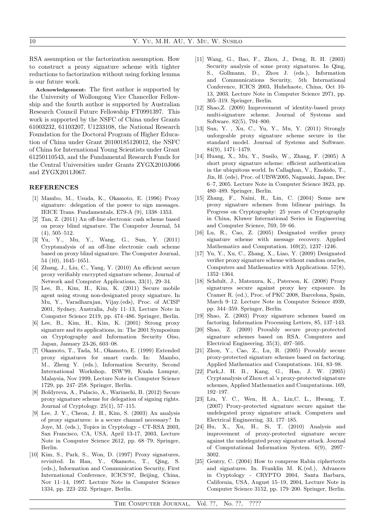RSA assumption or the factorization assumption. How to construct a proxy signature scheme with tighter reductions to factorization without using forking lemma is our future work.

Acknowledgement: The first author is supported by the University of Wollongong Vice Chancellor Fellowship and the fourth author is supported by Australian Research Council Future Fellowship FT0991397. This work is supported by the NSFC of China under Grants 61003232, 61103207, U1233108, the National Research Foundation for the Doctoral Program of Higher Education of China under Grant 20100185120012, the NSFC of China for International Young Scientists under Grant 61250110543, and the Fundamental Research Funds for the Central Universities under Grants ZYGX2010J066 and ZYGX2011J067.

#### REFERENCES

- [1] Mambo, M., Usuda, K., Okamoto, E. (1996) Proxy signature: delegation of the power to sign messages. IEICE Trans. Fundamentals, E79-A (9), 1338–1353.
- [2] Tan, Z. (2011) An off-line electronic cash scheme based on proxy blind signature. The Computer Journal, 54 (4), 505–512.
- [3] Yu, Y., Mu, Y., Wang, G., Sun, Y. (2011) Cryptanalysis of an off-line electronic cash scheme based on proxy blind signature. The Computer Journal, 54 (10), 1645–1651.
- [4] Zhang, J., Liu, C., Yang, Y. (2010) An efficient secure proxy verifiably encrypted signature scheme, Journal of Network and Computer Applications, 33(1), 29–34.
- [5] Lee, B., Kim, H., Kim, K. (2011) Secure mobile agent using strong non-designated proxy signature. In Mu, Y., Varadharajan, Vijay.(eds), Proc. of ACISP 2001, Sydney, Australia, July 11–13, Lecture Note in Computer Science 2119, pp. 474–486. Springer, Berlin.
- [6] Lee, B., Kim, H., Kim, K. (2001) Strong proxy signature and its applications, in: The 2001 Symposium on Cryptography and Information Security Oiso, Japan, January 23-26, 603–08.
- [7] Okamoto, T., Tada, M., Okamoto, E. (1999) Extended proxy signatures for smart cards. In: Mambo, M., Zheng Y. (eds.), Information Security, Second International Workshop, ISW'99, Kuala Lumpur, Malaysia, Nov 1999, Lecture Note in Computer Science 1729, pp. 247–258. Springer, Berlin.
- [8] Boldyreva, A., Palacio, A., Warinschi, B. (2012) Secure proxy signature scheme for delegation of signing rights. Journal of Cryptology. 25(1), 57–115.
- [9] Lee, J. Y., Cheon, J. H., Kim, S. (2003) An analysis of proxy signatures: is a secure channel necessary? In Joye, M. (eds.), Topics in Cryptology - CT-RSA 2003, San Francisco, CA, USA, April 13-17, 2003, Lecture Note in Computer Science 2612, pp. 68–79. Springer, Berlin.
- [10] Kim, S., Park, S., Won, D. (1997) Proxy signatures, revisited. In Han, Y., Okamoto, T., Qing, S. (eds.), Information and Communication Security, First International Conference, ICICS'97, Beijing, China, Nov 11–14, 1997. Lecture Note in Computer Science 1334, pp. 223–232. Springer, Berlin.
- [11] Wang, G., Bao, F., Zhou, J., Deng, R. H. (2003) Security analysis of some proxy signatures. In Qing, S., Gollmann, D., Zhou J. (eds.), Information and Communications Security, 5th International Conference, ICICS 2003, Huhehaote, China, Oct 10- 13, 2003. Lecture Note in Computer Science 2971, pp. 305–319. Springer, Berlin.
- [12] Shao,Z. (2009) Improvement of identity-based proxy multi-signature scheme. Journal of Systems and Software. 82(5), 794–800.
- [13] Sun, Y. , Xu, C., Yu, Y., Mu, Y. (2011) Strongly unforgeable proxy signature scheme secure in the standard model. Journal of Systems and Software. 84(9), 1471–1479.
- [14] Huang, X., Mu, Y., Susilo, W., Zhang, F. (2005) A short proxy signature scheme: efficient authentication in the ubiquitous world. In Callaghan, V., Enokido, T., Jin, H. (eds), Proc. of UISW2005, Nagasaki, Japan, Dec 6–7, 2005. Lecture Note in Computer Science 3823, pp. 480–489. Springer, Berlin.
- [15] Zhang, F., Naini, R., Lin, C. (2004) Some new proxy signature schemes from bilinear pairings. In Progress on Cryptography: 25 years of Cryptography in China, Kluwer International Series in Engineering and Computer Science, 769, 59–66.
- [16] Lu, R., Cao, Z. (2005) Designated verifier proxy signature scheme with message recovery. Applied Mathematics and Computation. 169(2), 1237–1246.
- [17] Yu, Y., Xu, C., Zhang, X., Liao, Y. (2009) Designated verifier proxy signature scheme without random oracles, Computers and Mathematics with Applications. 57(8), 1352–1364.
- [18] Schdult, J., Matsuura, K., Paterson, K. (2008) Proxy signatures secure against proxy key exposure. In Cramer R. (ed.), Proc. of PKC 2008, Barcelona, Spain, March 9–12. Lecture Note in Computer Science 4939, pp. 344–359. Springer, Berlin.
- [19] Shao, Z. (2003) Proxy siganture schemes based on factoring. Information Processing Letters, 85, 137–143.
- [20] Shao, Z. (2009) Provably secure proxy-protected signature schemes based on RSA. Computers and Electrical Engineering. 35(3), 497–505.
- [21] Zhou, Y., Cao, Z., Lu, R. (2005) Provably secure proxy-protected signature schemes based on factoring. Applied Mathematics and Computations. 164, 83–98.
- [22] Park,J. H. B., Kang, G., Han, J. W. (2005) Cryptanalysis of Zhou et al.'s proxy-protected signature schemes, Applied Mathematics and Computations. 169, 192–197.
- [23] Liu, Y. C., Wen, H. A., Lin,C. L., Hwang, T. (2007) Proxy-protected signature secure against the undelegated proxy signature attack. Computers and Electrical Engineering. 33, 177–185.
- [24] Hu, X., Xu, H., Si, T. (2010) Analysis and improvement of proxy-protected signature secure against the undelegated proxy signature attack. Journal of Computational Information System. 6(9), 2997– 3002.
- [25] Gentry, C. (2004) How to compress Rabin ciphertexts and signatures. In. Franklin M. K.(ed.), Advances in Cryptology - CRYPTO 2004, Santa Barbara, California, USA, August 15–19, 2004, Lecture Note in Computer Science 3152, pp. 179–200. Springer, Berlin.